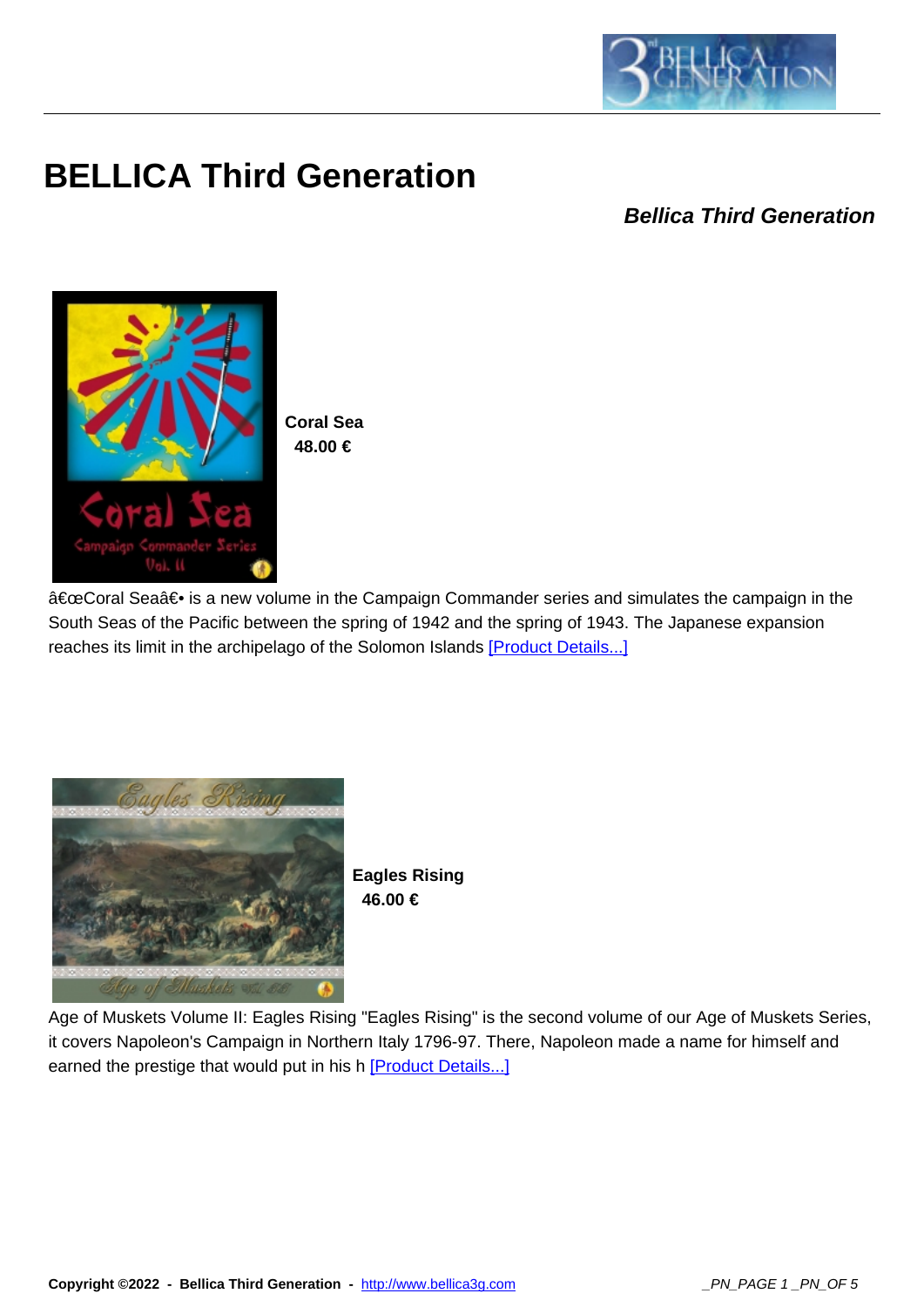

## **BELLICA Third Generation**

**Bellica Third Generation**



**Coral Sea 48.00 €** 

"Coral Sea― is a new volume in the Campaign Commander series and simulates the campaign in the South Seas of the Pacific between the spring of 1942 and the spring of 1943. The Japanese expansion reaches its limit in the archipelago of the Solomon Islands [Product Details...]



**Eagles Rising 46.00 €** 

Age of Muskets Volume II: Eagles Rising "Eagles Rising" is the second volume of our Age of Muskets Series, it covers Napoleon's Campaign in Northern Italy 1796-97. There, Napoleon made a name for himself and earned the prestige that would put in his h [Product Details...]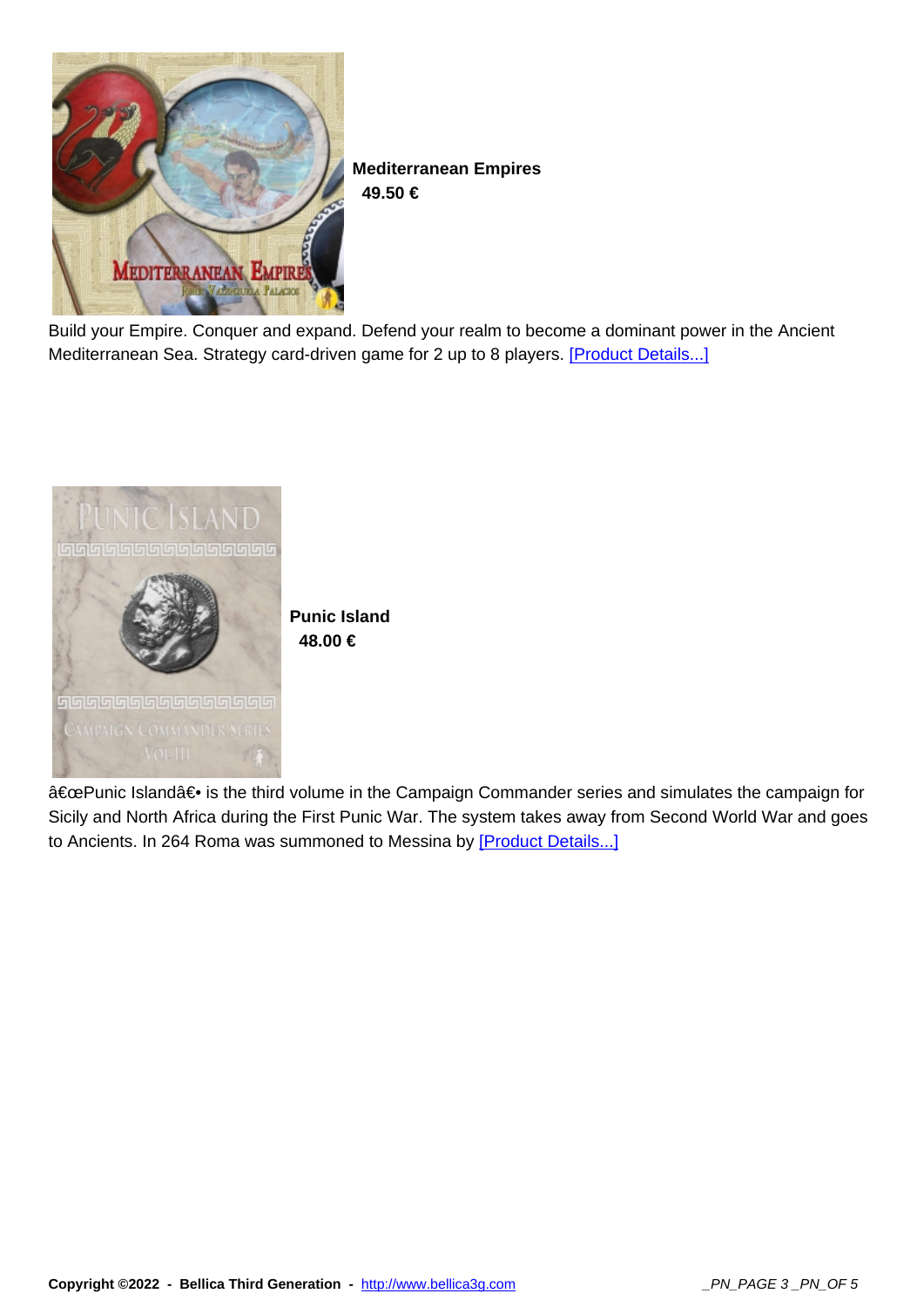

**Mediterranean Empires 49.50 €** 

Build your Empire. Conquer and expand. Defend your realm to become a dominant power in the Ancient Mediterranean Sea. Strategy card-driven game for 2 up to 8 players. [Product Details...]



"Punic Island― is the third volume in the Campaign Commander series and simulates the campaign for Sicily and North Africa during the First Punic War. The system takes away from Second World War and goes to Ancients. In 264 Roma was summoned to Messina by [Product Details...]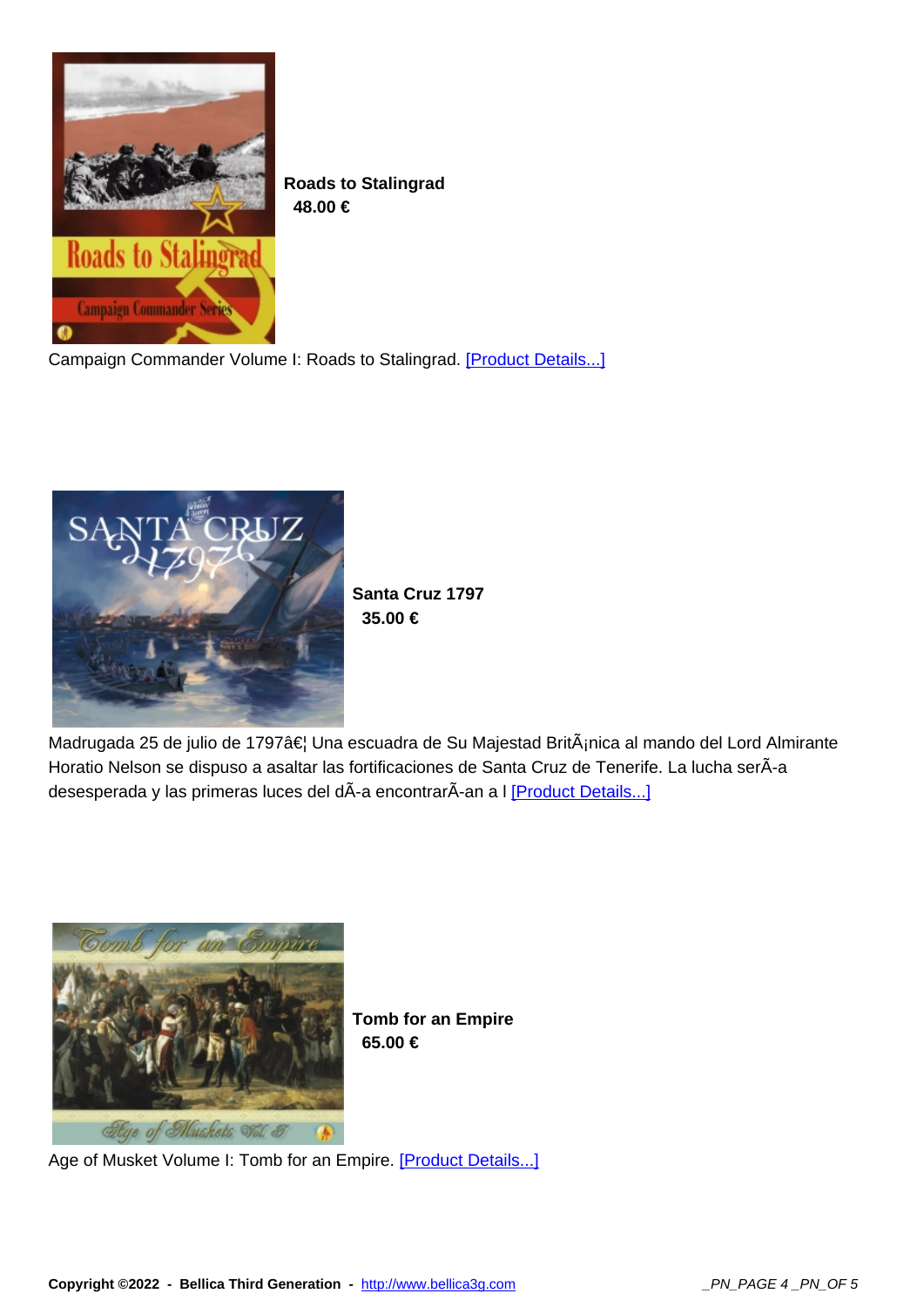

**Roads to Stalingrad 48.00 €** 

Campaign Commander Volume I: Roads to Stalingrad. [Product Details...]



**Santa Cruz 1797 35.00 €** 

Madrugada 25 de julio de 1797â€l Una escuadra de Su Majestad BritÂjnica al mando del Lord Almirante Horatio Nelson se dispuso a asaltar las fortificaciones de Santa Cruz de Tenerife. La lucha serÃ-a desesperada y las primeras luces del dÃ-a encontrarÃ-an a I [Product Details...]



**Tomb for an Empire 65.00 €** 

Age of Musket Volume I: Tomb for an Empire. [Product Details...]